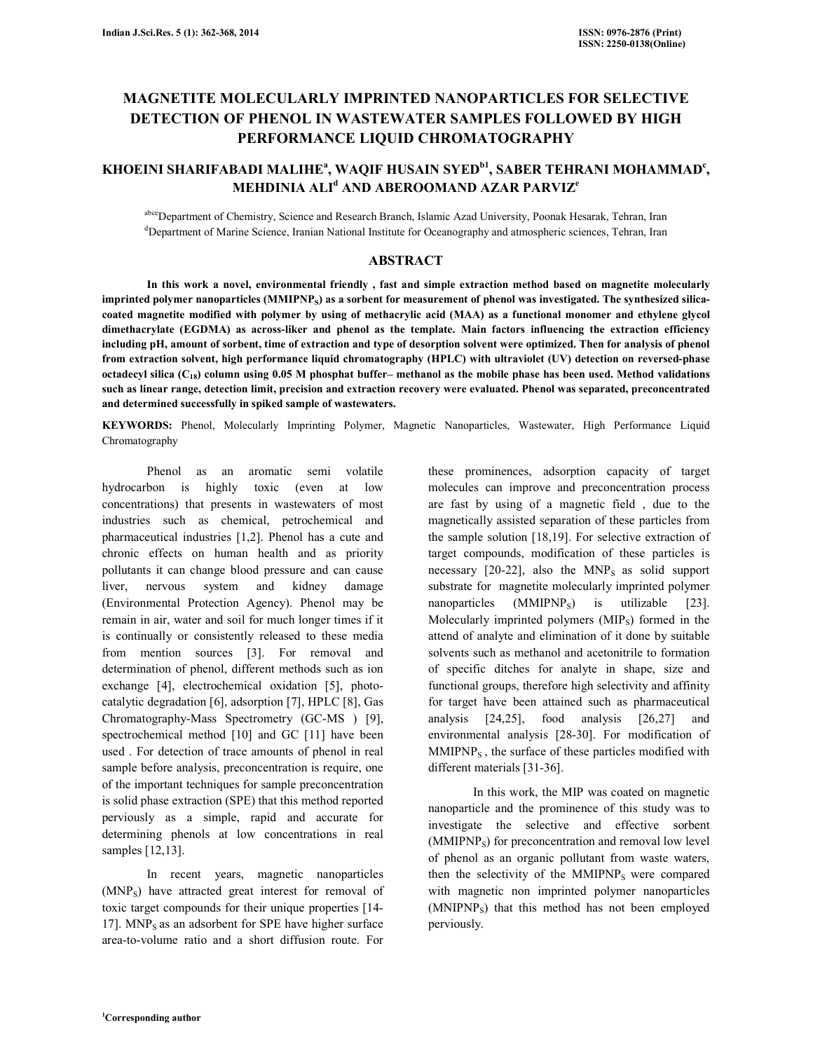# MAGNETITE MOLECULARLY IMPRINTED NANOPARTICLES FOR SELECTIVE DETECTION OF PHENOL IN WASTEWATER SAMPLES FOLLOWED BY HIGH PERFORMANCE LIQUID CHROMATOGRAPHY

# KHOEINI SHARIFABADI MALIHEª, WAQIF HUSAIN SYED<sup>bi</sup>, SABER TEHRANI MOHAMMAD<sup>e</sup>, MEHDINIA ALI<sup>d</sup> and aberoomand azar parviz<sup>e</sup>

abceDepartment of Chemistry, Science and Research Branch, Islamic Azad University, Poonak Hesarak, Tehran, Iran <sup>d</sup>Department of Marine Science, Iranian National Institute for Oceanography and atmospheric sciences, Tehran, Iran

# ABSTRACT

 In this work a novel, environmental friendly , fast and simple extraction method based on magnetite molecularly imprinted polymer nanoparticles  $(MMIPNP<sub>S</sub>)$  as a sorbent for measurement of phenol was investigated. The synthesized silicacoated magnetite modified with polymer by using of methacrylic acid (MAA) as a functional monomer and ethylene glycol dimethacrylate (EGDMA) as across-liker and phenol as the template. Main factors influencing the extraction efficiency including pH, amount of sorbent, time of extraction and type of desorption solvent were optimized. Then for analysis of phenol from extraction solvent, high performance liquid chromatography (HPLC) with ultraviolet (UV) detection on reversed-phase octadecyl silica  $(C_{18})$  column using 0.05 M phosphat buffer– methanol as the mobile phase has been used. Method validations such as linear range, detection limit, precision and extraction recovery were evaluated. Phenol was separated, preconcentrated and determined successfully in spiked sample of wastewaters.

KEYWORDS: Phenol, Molecularly Imprinting Polymer, Magnetic Nanoparticles, Wastewater, High Performance Liquid Chromatography

 Phenol as an aromatic semi volatile hydrocarbon is highly toxic (even at low concentrations) that presents in wastewaters of most industries such as chemical, petrochemical and pharmaceutical industries [1,2]. Phenol has a cute and chronic effects on human health and as priority pollutants it can change blood pressure and can cause liver, nervous system and kidney damage (Environmental Protection Agency). Phenol may be remain in air, water and soil for much longer times if it is continually or consistently released to these media from mention sources [3]. For removal and determination of phenol, different methods such as ion exchange [4], electrochemical oxidation [5], photocatalytic degradation [6], adsorption [7], HPLC [8], Gas Chromatography-Mass Spectrometry (GC-MS ) [9], spectrochemical method [10] and GC [11] have been used . For detection of trace amounts of phenol in real sample before analysis, preconcentration is require, one of the important techniques for sample preconcentration is solid phase extraction (SPE) that this method reported perviously as a simple, rapid and accurate for determining phenols at low concentrations in real samples [12,13].

 In recent years, magnetic nanoparticles (MNPS) have attracted great interest for removal of toxic target compounds for their unique properties [14- 17].  $MNP<sub>S</sub>$  as an adsorbent for SPE have higher surface area-to-volume ratio and a short diffusion route. For

these prominences, adsorption capacity of target molecules can improve and preconcentration process are fast by using of a magnetic field , due to the magnetically assisted separation of these particles from the sample solution [18,19]. For selective extraction of target compounds, modification of these particles is necessary  $[20-22]$ , also the MNP<sub>S</sub> as solid support substrate for magnetite molecularly imprinted polymer nanoparticles  $(MMIPNP<sub>s</sub>)$  is utilizable [23]. Molecularly imprinted polymers  $(MIP<sub>S</sub>)$  formed in the attend of analyte and elimination of it done by suitable solvents such as methanol and acetonitrile to formation of specific ditches for analyte in shape, size and functional groups, therefore high selectivity and affinity for target have been attained such as pharmaceutical analysis [24,25], food analysis [26,27] and environmental analysis [28-30]. For modification of  $MMIPNP<sub>S</sub>$ , the surface of these particles modified with different materials [31-36].

 In this work, the MIP was coated on magnetic nanoparticle and the prominence of this study was to investigate the selective and effective sorbent  $(MMIPNP<sub>S</sub>)$  for preconcentration and removal low level of phenol as an organic pollutant from waste waters, then the selectivity of the MMIPNP<sub>S</sub> were compared with magnetic non imprinted polymer nanoparticles (MNIPNPS) that this method has not been employed perviously.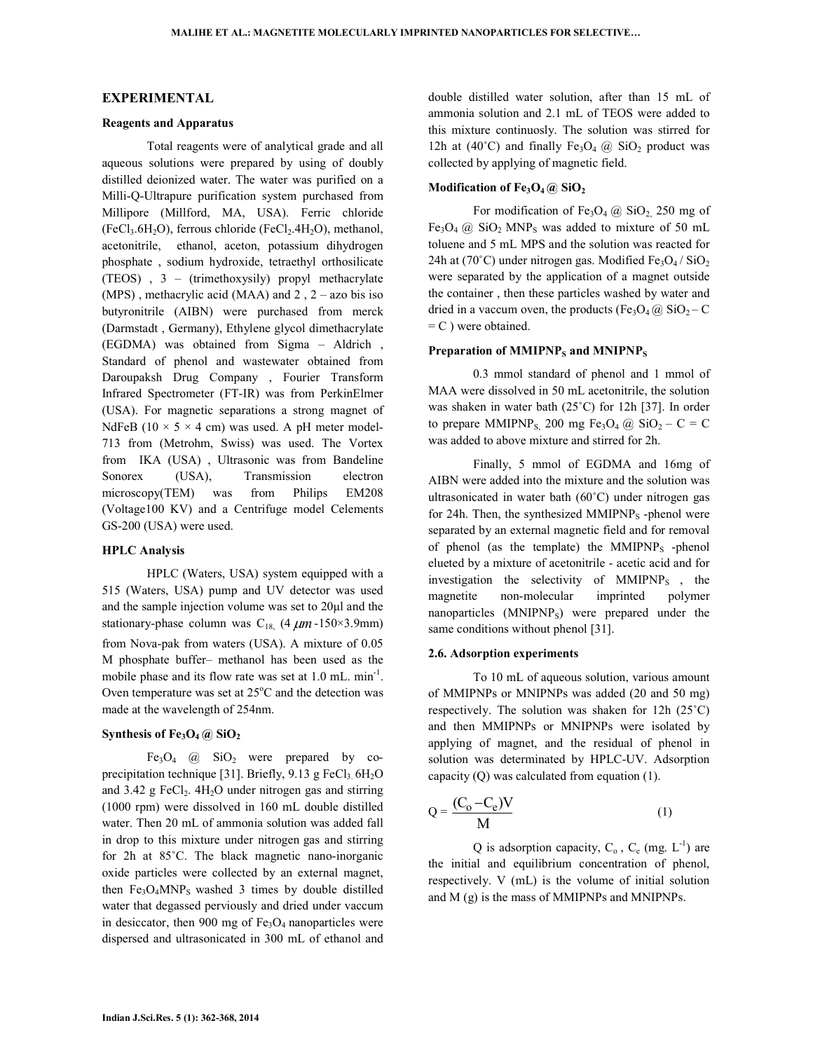# EXPERIMENTAL

# Reagents and Apparatus

 Total reagents were of analytical grade and all aqueous solutions were prepared by using of doubly distilled deionized water. The water was purified on a Milli-Q-Ultrapure purification system purchased from Millipore (Millford, MA, USA). Ferric chloride  $(FeCl<sub>3</sub>.6H<sub>2</sub>O)$ , ferrous chloride  $(FeCl<sub>2</sub>.4H<sub>2</sub>O)$ , methanol, acetonitrile, ethanol, aceton, potassium dihydrogen phosphate , sodium hydroxide, tetraethyl orthosilicate (TEOS) , 3 – (trimethoxysily) propyl methacrylate (MPS), methacrylic acid (MAA) and  $2$ ,  $2 - a$ zo bis iso butyronitrile (AIBN) were purchased from merck (Darmstadt , Germany), Ethylene glycol dimethacrylate (EGDMA) was obtained from Sigma – Aldrich , Standard of phenol and wastewater obtained from Daroupaksh Drug Company , Fourier Transform Infrared Spectrometer (FT-IR) was from PerkinElmer (USA). For magnetic separations a strong magnet of NdFeB ( $10 \times 5 \times 4$  cm) was used. A pH meter model-713 from (Metrohm, Swiss) was used. The Vortex from IKA (USA) , Ultrasonic was from Bandeline Sonorex (USA), Transmission electron microscopy(TEM) was from Philips EM208 (Voltage100 KV) and a Centrifuge model Celements GS-200 (USA) were used.

# HPLC Analysis

 HPLC (Waters, USA) system equipped with a 515 (Waters, USA) pump and UV detector was used and the sample injection volume was set to 20µl and the stationary-phase column was C<sub>18,</sub>  $(4 \mu m -150 \times 3.9 \text{mm})$ from Nova-pak from waters (USA). A mixture of 0.05 M phosphate buffer– methanol has been used as the mobile phase and its flow rate was set at 1.0 mL. min<sup>-1</sup>. Oven temperature was set at  $25^{\circ}$ C and the detection was made at the wavelength of 254nm.

### Synthesis of  $Fe<sub>3</sub>O<sub>4</sub>$  (*a*)  $SiO<sub>2</sub>$

Fe<sub>3</sub>O<sub>4</sub>  $@$  SiO<sub>2</sub> were prepared by coprecipitation technique [31]. Briefly,  $9.13$  g FeCl<sub>3</sub>.  $6H<sub>2</sub>O$ and  $3.42$  g FeCl<sub>2</sub>.  $4H<sub>2</sub>O$  under nitrogen gas and stirring (1000 rpm) were dissolved in 160 mL double distilled water. Then 20 mL of ammonia solution was added fall in drop to this mixture under nitrogen gas and stirring for 2h at 85˚C. The black magnetic nano-inorganic oxide particles were collected by an external magnet, then  $Fe<sub>3</sub>O<sub>4</sub> MNP<sub>S</sub>$  washed 3 times by double distilled water that degassed perviously and dried under vaccum in desiccator, then 900 mg of  $Fe<sub>3</sub>O<sub>4</sub>$  nanoparticles were dispersed and ultrasonicated in 300 mL of ethanol and double distilled water solution, after than 15 mL of ammonia solution and 2.1 mL of TEOS were added to this mixture continuosly. The solution was stirred for 12h at (40°C) and finally Fe<sub>3</sub>O<sub>4</sub>  $\omega$  SiO<sub>2</sub> product was collected by applying of magnetic field.

## Modification of  $Fe<sub>3</sub>O<sub>4</sub>$  (*a*)  $SiO<sub>2</sub>$

For modification of Fe<sub>3</sub>O<sub>4</sub> @ SiO<sub>2</sub> 250 mg of Fe<sub>3</sub>O<sub>4</sub> @ SiO<sub>2</sub> MNP<sub>S</sub> was added to mixture of 50 mL toluene and 5 mL MPS and the solution was reacted for 24h at (70°C) under nitrogen gas. Modified  $Fe<sub>3</sub>O<sub>4</sub>$  / SiO<sub>2</sub> were separated by the application of a magnet outside the container , then these particles washed by water and dried in a vaccum oven, the products (Fe<sub>3</sub>O<sub>4</sub> @ SiO<sub>2</sub> – C  $= C$ ) were obtained.

## Preparation of MMIPNP<sub>S</sub> and MNIPNP<sub>S</sub>

 0.3 mmol standard of phenol and 1 mmol of MAA were dissolved in 50 mL acetonitrile, the solution was shaken in water bath (25˚C) for 12h [37]. In order to prepare MMIPNP<sub>S,</sub> 200 mg Fe<sub>3</sub>O<sub>4</sub> @ SiO<sub>2</sub> – C = C was added to above mixture and stirred for 2h.

 Finally, 5 mmol of EGDMA and 16mg of AIBN were added into the mixture and the solution was ultrasonicated in water bath (60˚C) under nitrogen gas for 24h. Then, the synthesized  $MMPNP<sub>s</sub>$  -phenol were separated by an external magnetic field and for removal of phenol (as the template) the  $MMIPNP<sub>S</sub>$  -phenol elueted by a mixture of acetonitrile - acetic acid and for investigation the selectivity of MMIPNPS , the magnetite non-molecular imprinted polymer nanoparticles (MNIPNP<sub>S</sub>) were prepared under the same conditions without phenol [31].

#### 2.6. Adsorption experiments

 To 10 mL of aqueous solution, various amount of MMIPNPs or MNIPNPs was added (20 and 50 mg) respectively. The solution was shaken for 12h (25˚C) and then MMIPNPs or MNIPNPs were isolated by applying of magnet, and the residual of phenol in solution was determinated by HPLC-UV. Adsorption capacity (Q) was calculated from equation (1).

$$
Q = \frac{(C_0 - C_e)V}{M}
$$
 (1)

Q is adsorption capacity,  $C_0$ ,  $C_e$  (mg.  $L^{-1}$ ) are the initial and equilibrium concentration of phenol, respectively. V (mL) is the volume of initial solution and M (g) is the mass of MMIPNPs and MNIPNPs.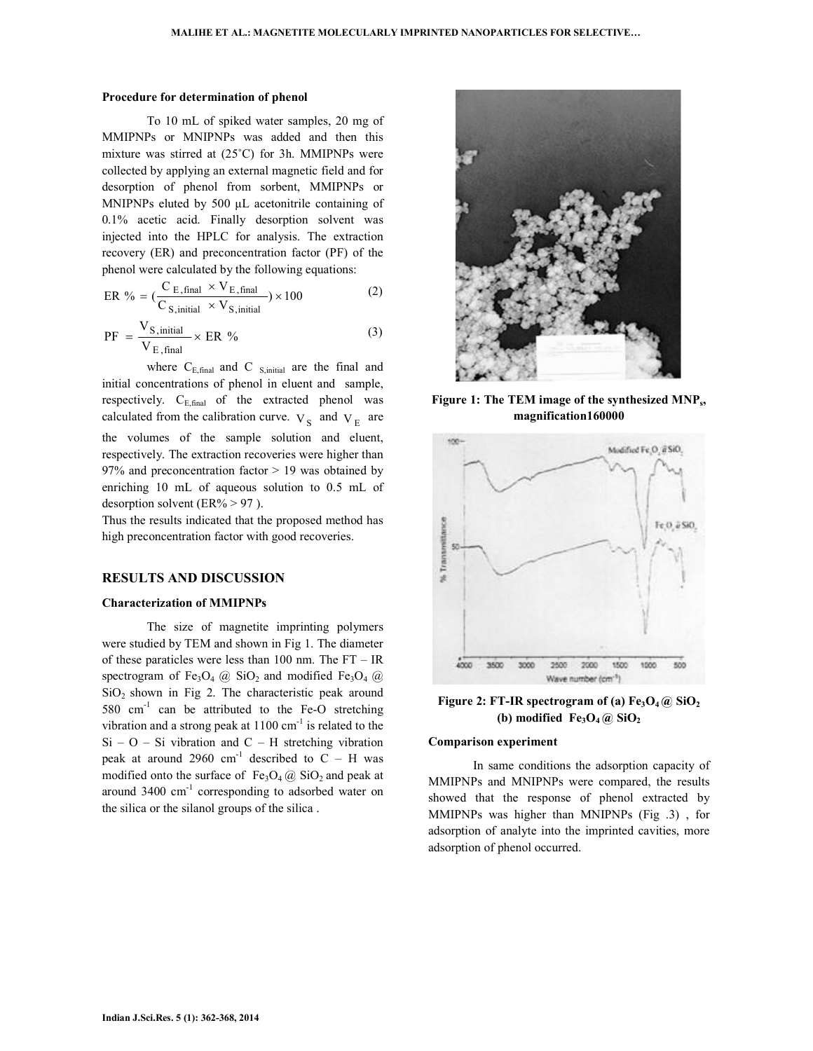#### Procedure for determination of phenol

 To 10 mL of spiked water samples, 20 mg of MMIPNPs or MNIPNPs was added and then this mixture was stirred at (25˚C) for 3h. MMIPNPs were collected by applying an external magnetic field and for desorption of phenol from sorbent, MMIPNPs or MNIPNPs eluted by 500 µL acetonitrile containing of 0.1% acetic acid. Finally desorption solvent was injected into the HPLC for analysis. The extraction recovery (ER) and preconcentration factor (PF) of the phenol were calculated by the following equations:

ER % = 
$$
(\frac{C_{E, final} \times V_{E, final}}{C_{S, initial} \times V_{S, initial}}) \times 100
$$
 (2)

$$
PF = \frac{V_{S,\text{initial}}}{V_{E,\text{final}}} \times ER \text{ % (3)}
$$

where  $C_{E,final}$  and C  $_{S,initial}$  are the final and initial concentrations of phenol in eluent and sample, respectively.  $C_{E,final}$  of the extracted phenol was calculated from the calibration curve.  $V_S$  and  $V_E$  are the volumes of the sample solution and eluent, respectively. The extraction recoveries were higher than 97% and preconcentration factor > 19 was obtained by enriching 10 mL of aqueous solution to 0.5 mL of desorption solvent (ER% > 97 ).

Thus the results indicated that the proposed method has high preconcentration factor with good recoveries.

# RESULTS AND DISCUSSION

### Characterization of MMIPNPs

 The size of magnetite imprinting polymers were studied by TEM and shown in Fig 1. The diameter of these paraticles were less than 100 nm. The FT – IR spectrogram of Fe<sub>3</sub>O<sub>4</sub> @ SiO<sub>2</sub> and modified Fe<sub>3</sub>O<sub>4</sub> @  $SiO<sub>2</sub>$  shown in Fig 2. The characteristic peak around 580  $cm^{-1}$  can be attributed to the Fe-O stretching vibration and a strong peak at  $1100 \text{ cm}^{-1}$  is related to the  $Si - O - Si$  vibration and  $C - H$  stretching vibration peak at around 2960 cm<sup>-1</sup> described to  $C - H$  was modified onto the surface of  $Fe<sub>3</sub>O<sub>4</sub>$  ( $\alpha$ ) SiO<sub>2</sub> and peak at around 3400 cm-1 corresponding to adsorbed water on the silica or the silanol groups of the silica .



Figure 1: The TEM image of the synthesized MNP<sub>s</sub>, magnification160000



Figure 2: FT-IR spectrogram of (a) Fe<sub>3</sub>O<sub>4</sub> @ SiO<sub>2</sub> (b) modified  $Fe<sub>3</sub>O<sub>4</sub>(a) SiO<sub>2</sub>$ 

#### Comparison experiment

 In same conditions the adsorption capacity of MMIPNPs and MNIPNPs were compared, the results showed that the response of phenol extracted by MMIPNPs was higher than MNIPNPs (Fig .3) , for adsorption of analyte into the imprinted cavities, more adsorption of phenol occurred.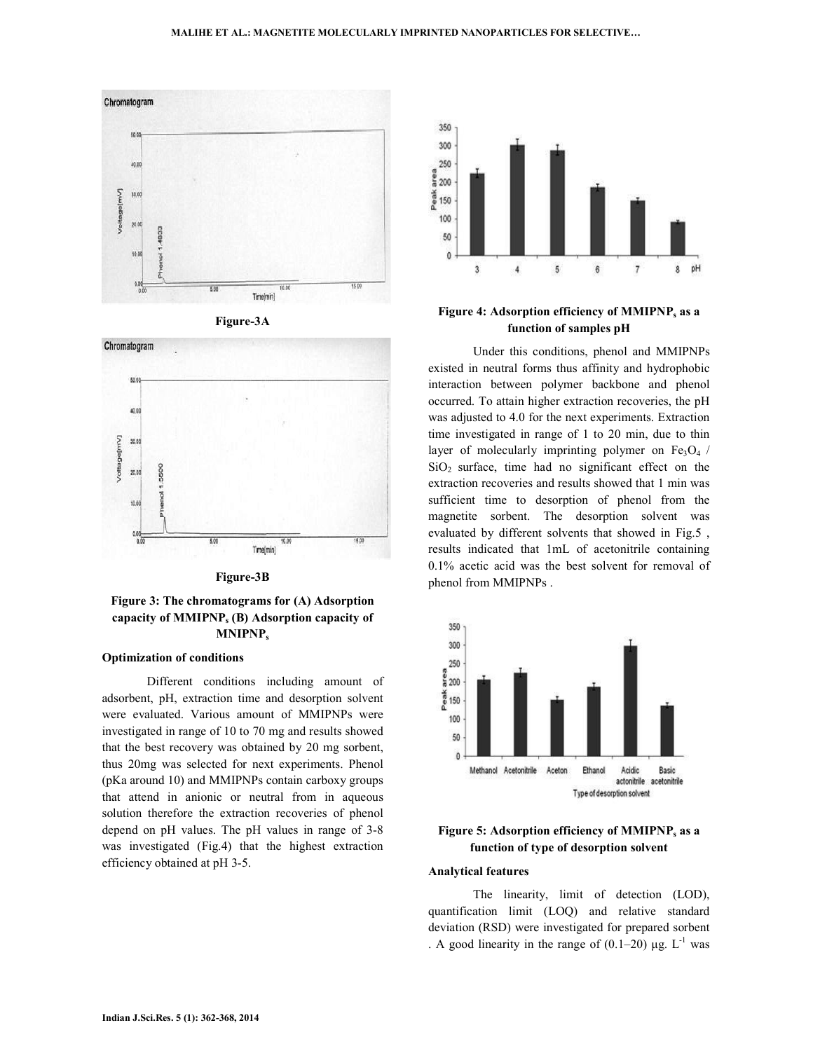





Figure-3B

# Figure 3: The chromatograms for (A) Adsorption capacity of MMIPNP<sup>s</sup> (B) Adsorption capacity of MNIPNP<sub>s</sub>

## Optimization of conditions

 Different conditions including amount of adsorbent, pH, extraction time and desorption solvent were evaluated. Various amount of MMIPNPs were investigated in range of 10 to 70 mg and results showed that the best recovery was obtained by 20 mg sorbent, thus 20mg was selected for next experiments. Phenol (pKa around 10) and MMIPNPs contain carboxy groups that attend in anionic or neutral from in aqueous solution therefore the extraction recoveries of phenol depend on pH values. The pH values in range of 3-8 was investigated (Fig.4) that the highest extraction efficiency obtained at pH 3-5.



# Figure 4: Adsorption efficiency of MMIPNP<sup>s</sup> as a function of samples pH

 Under this conditions, phenol and MMIPNPs existed in neutral forms thus affinity and hydrophobic interaction between polymer backbone and phenol occurred. To attain higher extraction recoveries, the pH was adjusted to 4.0 for the next experiments. Extraction time investigated in range of 1 to 20 min, due to thin layer of molecularly imprinting polymer on  $Fe<sub>3</sub>O<sub>4</sub>$  /  $SiO<sub>2</sub>$  surface, time had no significant effect on the extraction recoveries and results showed that 1 min was sufficient time to desorption of phenol from the magnetite sorbent. The desorption solvent was evaluated by different solvents that showed in Fig.5 , results indicated that 1mL of acetonitrile containing 0.1% acetic acid was the best solvent for removal of phenol from MMIPNPs .



Figure 5: Adsorption efficiency of MMIPNP, as a function of type of desorption solvent

### Analytical features

 The linearity, limit of detection (LOD), quantification limit (LOQ) and relative standard deviation (RSD) were investigated for prepared sorbent . A good linearity in the range of  $(0.1-20)$  µg. L<sup>-1</sup> was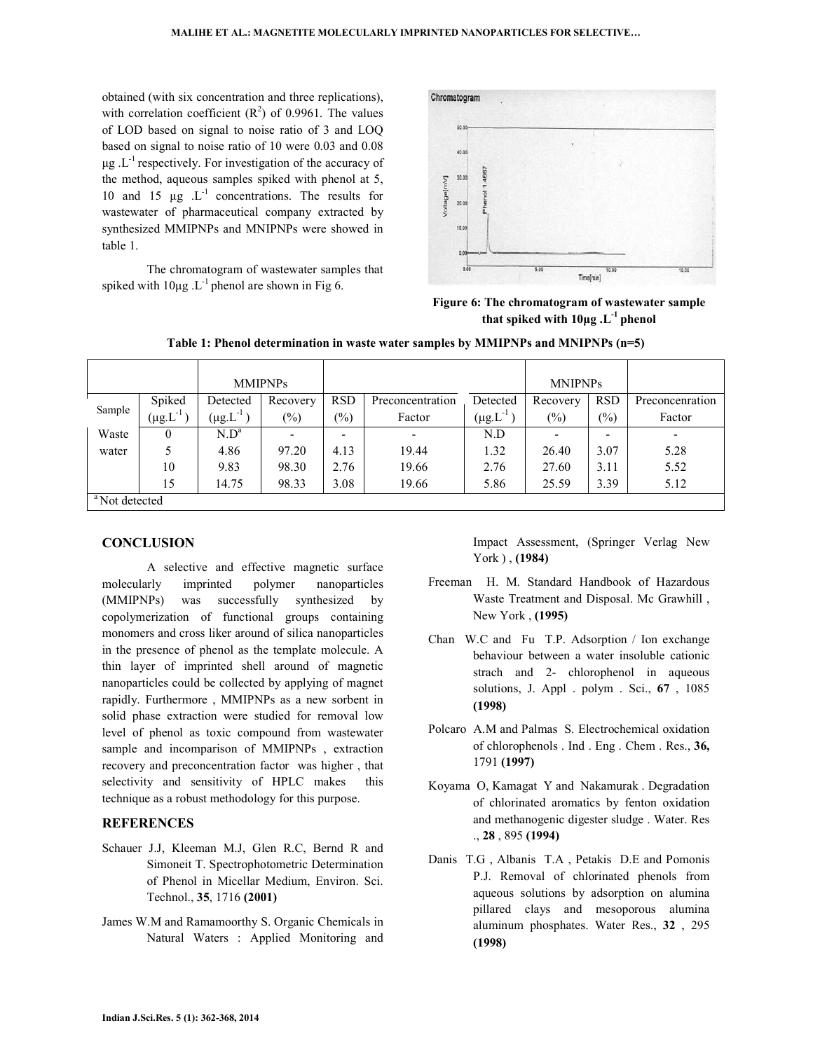obtained (with six concentration and three replications), with correlation coefficient  $(R^2)$  of 0.9961. The values of LOD based on signal to noise ratio of 3 and LOQ based on signal to noise ratio of 10 were 0.03 and 0.08  $\mu$ g .L<sup>-1</sup> respectively. For investigation of the accuracy of the method, aqueous samples spiked with phenol at 5, 10 and 15  $\mu$ g  $\cdot$  L<sup>-1</sup> concentrations. The results for wastewater of pharmaceutical company extracted by synthesized MMIPNPs and MNIPNPs were showed in table 1.

 The chromatogram of wastewater samples that spiked with  $10\mu$ g .L<sup>-1</sup> phenol are shown in Fig 6.



Figure 6: The chromatogram of wastewater sample that spiked with  $10\mu$ g . L<sup>-1</sup> phenol

|                           |                        | <b>MMIPNPs</b>      |          |               |                  |                        | <b>MNIPNPs</b> |                 |                 |
|---------------------------|------------------------|---------------------|----------|---------------|------------------|------------------------|----------------|-----------------|-----------------|
| Sample                    | Spiked                 | Detected            | Recovery | <b>RSD</b>    | Preconcentration | Detected               | Recovery       | <b>RSD</b>      | Preconcenration |
|                           | $(\mu\text{g.L}^{-1})$ | $(\mu$ g. $L^{-1})$ | $(\%)$   | $\frac{6}{2}$ | Factor           | $(\mu\text{g.L}^{-1})$ | $(\%)$         | $\frac{(0)}{0}$ | Factor          |
| Waste                     | 0                      | N.D <sup>a</sup>    |          | ۰             | ٠                | N.D                    |                | -               |                 |
| water                     |                        | 4.86                | 97.20    | 4.13          | 19.44            | 1.32                   | 26.40          | 3.07            | 5.28            |
|                           | 10                     | 9.83                | 98.30    | 2.76          | 19.66            | 2.76                   | 27.60          | 3.11            | 5.52            |
|                           | 15                     | 14.75               | 98.33    | 3.08          | 19.66            | 5.86                   | 25.59          | 3.39            | 5.12            |
| <sup>a</sup> Not detected |                        |                     |          |               |                  |                        |                |                 |                 |

Table 1: Phenol determination in waste water samples by MMIPNPs and MNIPNPs (n=5)

# **CONCLUSION**

 A selective and effective magnetic surface molecularly imprinted polymer nanoparticles (MMIPNPs) was successfully synthesized by copolymerization of functional groups containing monomers and cross liker around of silica nanoparticles in the presence of phenol as the template molecule. A thin layer of imprinted shell around of magnetic nanoparticles could be collected by applying of magnet rapidly. Furthermore , MMIPNPs as a new sorbent in solid phase extraction were studied for removal low level of phenol as toxic compound from wastewater sample and incomparison of MMIPNPs , extraction recovery and preconcentration factor was higher , that selectivity and sensitivity of HPLC makes this technique as a robust methodology for this purpose.

# **REFERENCES**

- Schauer J.J, Kleeman M.J, Glen R.C, Bernd R and Simoneit T. Spectrophotometric Determination of Phenol in Micellar Medium, Environ. Sci. Technol., 35, 1716 (2001)
- James W.M and Ramamoorthy S. Organic Chemicals in Natural Waters : Applied Monitoring and

Impact Assessment, (Springer Verlag New York ) , (1984)

- Freeman H. M. Standard Handbook of Hazardous Waste Treatment and Disposal. Mc Grawhill , New York , (1995)
- Chan W.C and Fu T.P. Adsorption / Ion exchange behaviour between a water insoluble cationic strach and 2- chlorophenol in aqueous solutions, J. Appl . polym . Sci., 67 , 1085 (1998)
- Polcaro A.M and Palmas S. Electrochemical oxidation of chlorophenols . Ind . Eng . Chem . Res., 36, 1791 (1997)
- Koyama O, Kamagat Y and Nakamurak . Degradation of chlorinated aromatics by fenton oxidation and methanogenic digester sludge . Water. Res ., 28 , 895 (1994)
- Danis T.G , Albanis T.A , Petakis D.E and Pomonis P.J. Removal of chlorinated phenols from aqueous solutions by adsorption on alumina pillared clays and mesoporous alumina aluminum phosphates. Water Res., 32 , 295 (1998)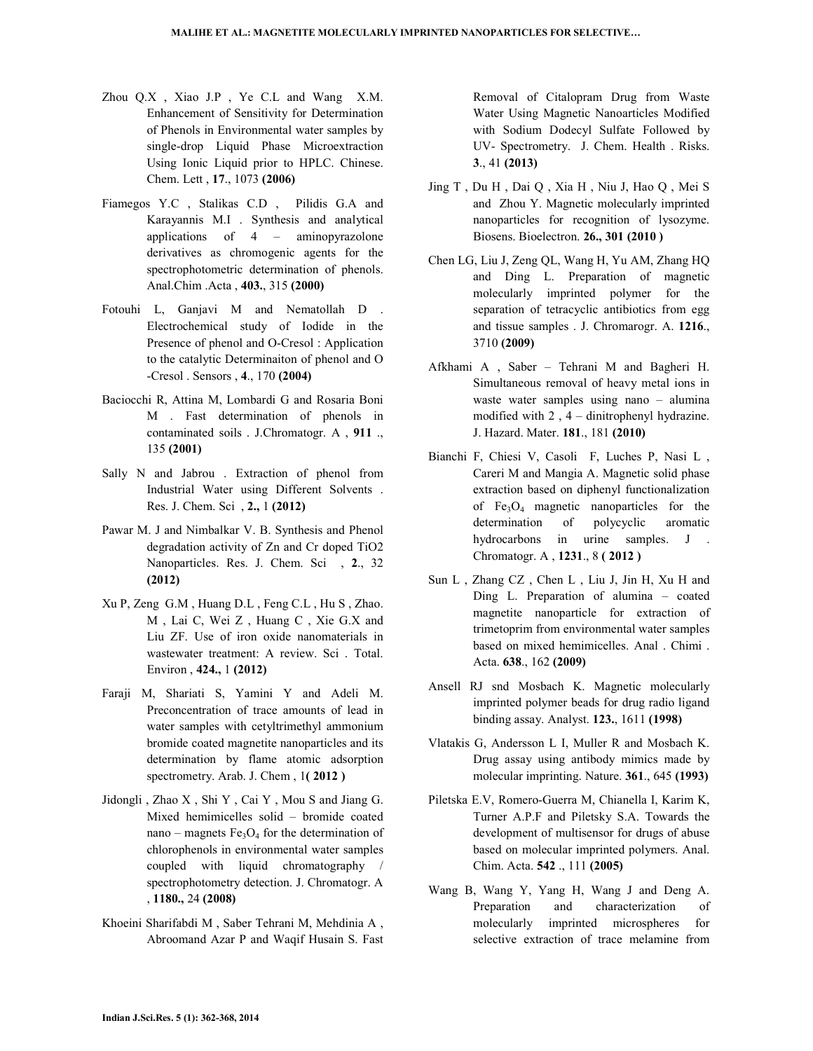- Zhou Q.X , Xiao J.P , Ye C.L and Wang X.M. Enhancement of Sensitivity for Determination of Phenols in Environmental water samples by single-drop Liquid Phase Microextraction Using Ionic Liquid prior to HPLC. Chinese. Chem. Lett , 17., 1073 (2006)
- Fiamegos Y.C , Stalikas C.D , Pilidis G.A and Karayannis M.I . Synthesis and analytical applications of 4 – aminopyrazolone derivatives as chromogenic agents for the spectrophotometric determination of phenols. Anal.Chim .Acta , 403., 315 (2000)
- Fotouhi L, Ganjavi M and Nematollah D . Electrochemical study of Iodide in the Presence of phenol and O-Cresol : Application to the catalytic Determinaiton of phenol and O -Cresol . Sensors , 4., 170 (2004)
- Baciocchi R, Attina M, Lombardi G and Rosaria Boni M . Fast determination of phenols in contaminated soils . J.Chromatogr. A , 911 ., 135 (2001)
- Sally N and Jabrou . Extraction of phenol from Industrial Water using Different Solvents . Res. J. Chem. Sci , 2., 1 (2012)
- Pawar M. J and Nimbalkar V. B. Synthesis and Phenol degradation activity of Zn and Cr doped TiO2 Nanoparticles. Res. J. Chem. Sci., 2., 32 (2012)
- Xu P, Zeng G.M , Huang D.L , Feng C.L , Hu S , Zhao. M , Lai C, Wei Z , Huang C , Xie G.X and Liu ZF. Use of iron oxide nanomaterials in wastewater treatment: A review. Sci . Total. Environ , 424., 1 (2012)
- Faraji M, Shariati S, Yamini Y and Adeli M. Preconcentration of trace amounts of lead in water samples with cetyltrimethyl ammonium bromide coated magnetite nanoparticles and its determination by flame atomic adsorption spectrometry. Arab. J. Chem, 1(2012)
- Jidongli , Zhao X , Shi Y , Cai Y , Mou S and Jiang G. Mixed hemimicelles solid – bromide coated nano – magnets  $Fe<sub>3</sub>O<sub>4</sub>$  for the determination of chlorophenols in environmental water samples coupled with liquid chromatography / spectrophotometry detection. J. Chromatogr. A , 1180., 24 (2008)
- Khoeini Sharifabdi M , Saber Tehrani M, Mehdinia A , Abroomand Azar P and Waqif Husain S. Fast

Removal of Citalopram Drug from Waste Water Using Magnetic Nanoarticles Modified with Sodium Dodecyl Sulfate Followed by UV- Spectrometry. J. Chem. Health . Risks. 3., 41 (2013)

- Jing T , Du H , Dai Q , Xia H , Niu J, Hao Q , Mei S and Zhou Y. Magnetic molecularly imprinted nanoparticles for recognition of lysozyme. Biosens. Bioelectron. 26., 301 (2010 )
- Chen LG, Liu J, Zeng QL, Wang H, Yu AM, Zhang HQ and Ding L. Preparation of magnetic molecularly imprinted polymer for the separation of tetracyclic antibiotics from egg and tissue samples . J. Chromarogr. A. 1216., 3710 (2009)
- Afkhami A , Saber Tehrani M and Bagheri H. Simultaneous removal of heavy metal ions in waste water samples using nano – alumina modified with 2 , 4 – dinitrophenyl hydrazine. J. Hazard. Mater. 181., 181 (2010)
- Bianchi F, Chiesi V, Casoli F, Luches P, Nasi L , Careri M and Mangia A. Magnetic solid phase extraction based on diphenyl functionalization of  $Fe<sub>3</sub>O<sub>4</sub>$  magnetic nanoparticles for the determination of polycyclic aromatic hydrocarbons in urine samples. J . Chromatogr. A , 1231., 8 ( 2012 )
- Sun L , Zhang CZ , Chen L , Liu J, Jin H, Xu H and Ding L. Preparation of alumina – coated magnetite nanoparticle for extraction of trimetoprim from environmental water samples based on mixed hemimicelles. Anal . Chimi . Acta. 638., 162 (2009)
- Ansell RJ snd Mosbach K. Magnetic molecularly imprinted polymer beads for drug radio ligand binding assay. Analyst. 123., 1611 (1998)
- Vlatakis G, Andersson L I, Muller R and Mosbach K. Drug assay using antibody mimics made by molecular imprinting. Nature. 361., 645 (1993)
- Piletska E.V, Romero-Guerra M, Chianella I, Karim K, Turner A.P.F and Piletsky S.A. Towards the development of multisensor for drugs of abuse based on molecular imprinted polymers. Anal. Chim. Acta. 542 ., 111 (2005)
- Wang B, Wang Y, Yang H, Wang J and Deng A. Preparation and characterization of molecularly imprinted microspheres for selective extraction of trace melamine from